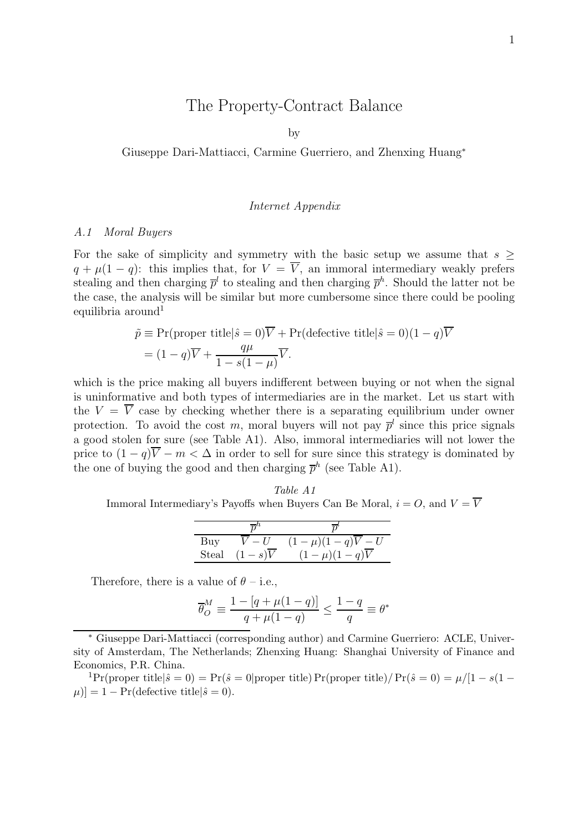# The Property-Contract Balance

by

Giuseppe Dari-Mattiacci, Carmine Guerriero, and Zhenxing Huang<sup>∗</sup>

#### Internet Appendix

#### A.1 Moral Buyers

For the sake of simplicity and symmetry with the basic setup we assume that  $s$  $q + \mu(1 - q)$ : this implies that, for  $V = \overline{V}$ , an immoral intermediary weakly prefers stealing and then charging  $\bar{p}^l$  to stealing and then charging  $\bar{p}^h$ . Should the latter not be the case, the analysis will be similar but more cumbersome since there could be pooling equilibria around<sup>1</sup>

$$
\tilde{p} \equiv \Pr(\text{proper title}|\hat{s} = 0)\overline{V} + \Pr(\text{defective title}|\hat{s} = 0)(1 - q)\overline{V} \n= (1 - q)\overline{V} + \frac{q\mu}{1 - s(1 - \mu)}\overline{V}.
$$

which is the price making all buyers indifferent between buying or not when the signal is uninformative and both types of intermediaries are in the market. Let us start with the  $V = \overline{V}$  case by checking whether there is a separating equilibrium under owner protection. To avoid the cost m, moral buyers will not pay  $\bar{p}^l$  since this price signals a good stolen for sure (see Table A1). Also, immoral intermediaries will not lower the price to  $(1 - q)\overline{V} - m < \Delta$  in order to sell for sure since this strategy is dominated by the one of buying the good and then charging  $\bar{p}^h$  (see Table A1).

Table A1 Immoral Intermediary's Payoffs when Buyers Can Be Moral,  $i = O$ , and  $V = \overline{V}$ 

|       | $\overline{n}^n$    | $\overline{n}'$              |
|-------|---------------------|------------------------------|
| Buy   | $V - U$             | $(1-\mu)(1-q)\overline{V}-U$ |
| Steal | $(1-s)\overline{V}$ | $(1-\mu)(1-q)\overline{V}$   |

Therefore, there is a value of  $\theta$  – i.e.,

$$
\overline{\theta}_O^M \equiv \frac{1 - [q + \mu(1 - q)]}{q + \mu(1 - q)} \le \frac{1 - q}{q} \equiv \theta^*
$$

<sup>∗</sup> Giuseppe Dari-Mattiacci (corresponding author) and Carmine Guerriero: ACLE, University of Amsterdam, The Netherlands; Zhenxing Huang: Shanghai University of Finance and Economics, P.R. China.

<sup>1</sup>Pr(proper title $|\hat{s}=0\rangle = \Pr(\hat{s}=0)$  proper title) Pr(proper title)/ Pr( $\hat{s}=0\rangle = \mu/[1-s(1-s)]$  $|\mu\rangle = 1 - \Pr(\text{defective title}|\hat{s}=0).$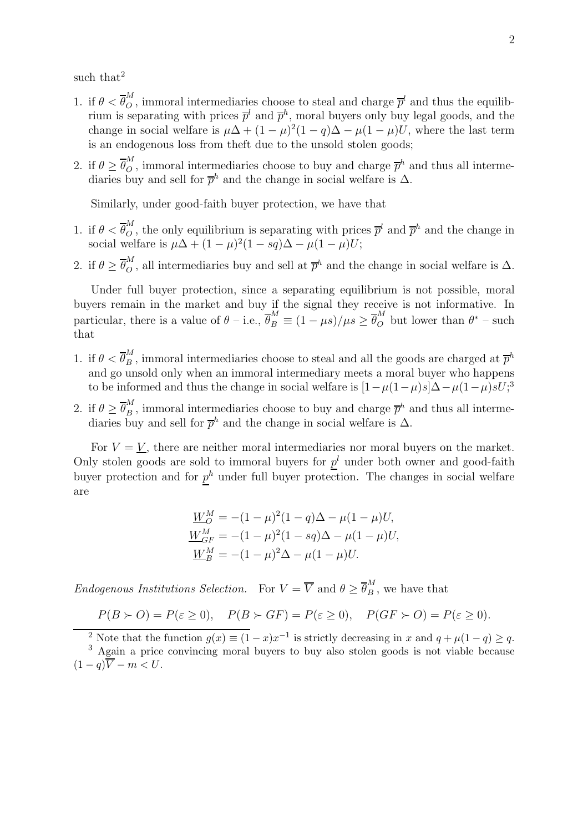such that<sup>2</sup>

- 1. if  $\theta < \overline{\theta}_Q^M$ , immoral intermediaries choose to steal and charge  $\overline{p}^l$  and thus the equilibrium is separating with prices  $\bar{p}^l$  and  $\bar{p}^h$ , moral buyers only buy legal goods, and the change in social welfare is  $\mu\Delta + (1-\mu)^2(1-q)\Delta - \mu(1-\mu)U$ , where the last term is an endogenous loss from theft due to the unsold stolen goods;
- 2. if  $\theta \geq \overline{\theta}_O^M$ , immoral intermediaries choose to buy and charge  $\overline{p}^h$  and thus all intermediaries buy and sell for  $\bar{p}^h$  and the change in social welfare is  $\Delta$ .

Similarly, under good-faith buyer protection, we have that

- 1. if  $\theta < \overline{\theta}_Q^M$ , the only equilibrium is separating with prices  $\overline{p}^l$  and  $\overline{p}^h$  and the change in social welfare is  $\mu\Delta + (1-\mu)^2(1-sq)\Delta - \mu(1-\mu)U;$
- 2. if  $\theta \geq \overline{\theta}_O^M$ , all intermediaries buy and sell at  $\overline{p}^h$  and the change in social welfare is  $\Delta$ .

Under full buyer protection, since a separating equilibrium is not possible, moral buyers remain in the market and buy if the signal they receive is not informative. In particular, there is a value of  $\theta$  – i.e.,  $\overline{\theta}_B^M \equiv (1 - \mu s)/\mu s \ge \overline{\theta}_O^M$  but lower than  $\theta^*$  – such that

- 1. if  $\theta < \overline{\theta}_B^M$ , immoral intermediaries choose to steal and all the goods are charged at  $\overline{p}^h$ and go unsold only when an immoral intermediary meets a moral buyer who happens to be informed and thus the change in social welfare is  $[1 - \mu(1-\mu)s]\Delta - \mu(1-\mu)sU;$ <sup>3</sup>
- 2. if  $\theta \geq \overline{\theta}_B^M$ , immoral intermediaries choose to buy and charge  $\overline{p}^h$  and thus all intermediaries buy and sell for  $\bar{p}^h$  and the change in social welfare is  $\Delta$ .

For  $V = V$ , there are neither moral intermediaries nor moral buyers on the market. Only stolen goods are sold to immoral buyers for  $p<sup>l</sup>$  under both owner and good-faith buyer protection and for  $p^h$  under full buyer protection. The changes in social welfare are

$$
\underline{W}_{O}^{M} = -(1 - \mu)^{2} (1 - q)\Delta - \mu(1 - \mu)U,
$$
  
\n
$$
\underline{W}_{GF}^{M} = -(1 - \mu)^{2} (1 - sq)\Delta - \mu(1 - \mu)U,
$$
  
\n
$$
\underline{W}_{B}^{M} = -(1 - \mu)^{2}\Delta - \mu(1 - \mu)U.
$$

Endogenous Institutions Selection. For  $V = \overline{V}$  and  $\theta \geq \overline{\theta}_B^M$ , we have that

 $P(B \succ O) = P(\varepsilon \ge 0), \quad P(B \succ GF) = P(\varepsilon \ge 0), \quad P(GF \succ O) = P(\varepsilon \ge 0).$ 

<sup>2</sup> Note that the function  $g(x) \equiv (1-x)x^{-1}$  is strictly decreasing in x and  $q + \mu(1-q) \ge q$ .

<sup>3</sup> Again a price convincing moral buyers to buy also stolen goods is not viable because  $(1 - q)\overline{V} - m < U.$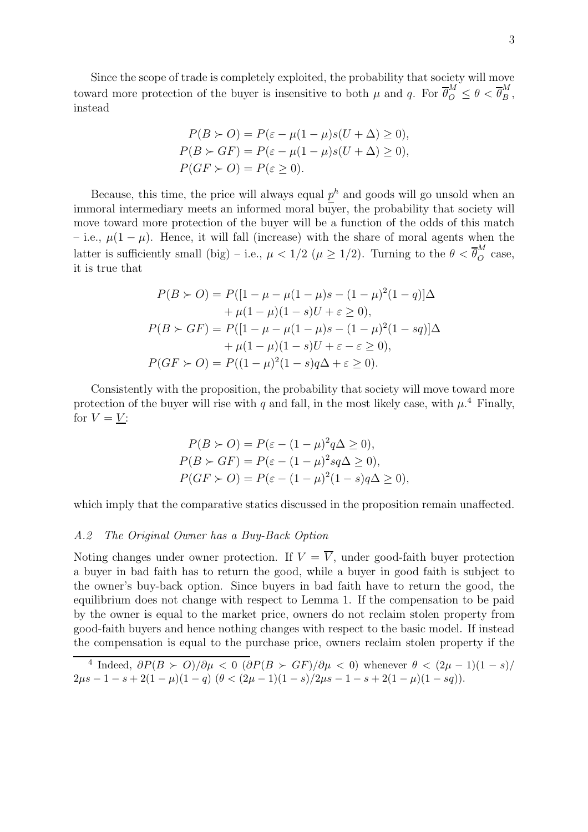Since the scope of trade is completely exploited, the probability that society will move toward more protection of the buyer is insensitive to both  $\mu$  and q. For  $\overline{\theta}_{0}^{M} \leq \theta < \overline{\theta}_{B}^{M}$ , instead

$$
P(B \succ O) = P(\varepsilon - \mu(1 - \mu)s(U + \Delta) \ge 0),
$$
  
\n
$$
P(B \succ GF) = P(\varepsilon - \mu(1 - \mu)s(U + \Delta) \ge 0),
$$
  
\n
$$
P(GF \succ O) = P(\varepsilon \ge 0).
$$

Because, this time, the price will always equal  $p<sup>h</sup>$  and goods will go unsold when an immoral intermediary meets an informed moral buyer, the probability that society will move toward more protection of the buyer will be a function of the odds of this match – i.e.,  $\mu(1-\mu)$ . Hence, it will fall (increase) with the share of moral agents when the latter is sufficiently small (big) – i.e.,  $\mu < 1/2$  ( $\mu \ge 1/2$ ). Turning to the  $\theta < \overline{\theta}_{\overline{O}}^{M}$  case, it is true that

$$
P(B \succ O) = P([1 - \mu - \mu(1 - \mu)s - (1 - \mu)^2(1 - q)]\Delta
$$
  
+  $\mu(1 - \mu)(1 - s)U + \varepsilon \ge 0),$   

$$
P(B \succ GF) = P([1 - \mu - \mu(1 - \mu)s - (1 - \mu)^2(1 - sq)]\Delta
$$
  
+  $\mu(1 - \mu)(1 - s)U + \varepsilon - \varepsilon \ge 0),$   

$$
P(GF \succ O) = P((1 - \mu)^2(1 - s)q\Delta + \varepsilon \ge 0).
$$

Consistently with the proposition, the probability that society will move toward more protection of the buyer will rise with q and fall, in the most likely case, with  $\mu$ <sup>4</sup> Finally, for  $V = V$ :

$$
P(B \succ O) = P(\varepsilon - (1 - \mu)^2 q \Delta \ge 0),
$$
  
\n
$$
P(B \succ GF) = P(\varepsilon - (1 - \mu)^2 s q \Delta \ge 0),
$$
  
\n
$$
P(GF \succ O) = P(\varepsilon - (1 - \mu)^2 (1 - s) q \Delta \ge 0),
$$

which imply that the comparative statics discussed in the proposition remain unaffected.

# A.2 The Original Owner has a Buy-Back Option

Noting changes under owner protection. If  $V = \overline{V}$ , under good-faith buyer protection a buyer in bad faith has to return the good, while a buyer in good faith is subject to the owner's buy-back option. Since buyers in bad faith have to return the good, the equilibrium does not change with respect to Lemma 1. If the compensation to be paid by the owner is equal to the market price, owners do not reclaim stolen property from good-faith buyers and hence nothing changes with respect to the basic model. If instead the compensation is equal to the purchase price, owners reclaim stolen property if the

<sup>4</sup> Indeed,  $\partial P(B \succ O)/\partial \mu < 0$  ( $\partial P(B \succ GF)/\partial \mu < 0$ ) whenever  $\theta < (2\mu - 1)(1 - s)/$  $2\mu s - 1 - s + 2(1 - \mu)(1 - q)$   $(\theta < (2\mu - 1)(1 - s)/2\mu s - 1 - s + 2(1 - \mu)(1 - sq)).$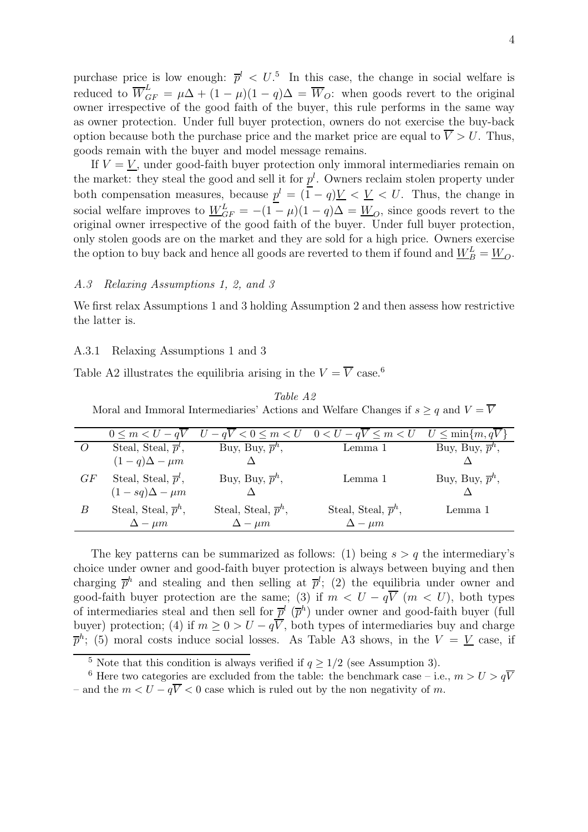purchase price is low enough:  $\bar{p}^l < U$ <sup>5</sup>. In this case, the change in social welfare is reduced to  $\overline{W}_{GF}^{L} = \mu \Delta + (1 - \mu)(1 - q) \Delta = \overline{W}_{O}$ : when goods revert to the original owner irrespective of the good faith of the buyer, this rule performs in the same way as owner protection. Under full buyer protection, owners do not exercise the buy-back option because both the purchase price and the market price are equal to  $\overline{V} > U$ . Thus, goods remain with the buyer and model message remains.

If  $V = V$ , under good-faith buyer protection only immoral intermediaries remain on the market: they steal the good and sell it for  $p<sup>l</sup>$ . Owners reclaim stolen property under both compensation measures, because  $p^l = (\overline{1} - q)V < V < U$ . Thus, the change in social welfare improves to  $W_{GF}^{L} = -(1 - \mu)(1 - q)\Delta = W_{O}$ , since goods revert to the original owner irrespective of the good faith of the buyer. Under full buyer protection, only stolen goods are on the market and they are sold for a high price. Owners exercise the option to buy back and hence all goods are reverted to them if found and  $\underline{W}_{B}^{L} = \underline{W}_{O}$ .

## A.3 Relaxing Assumptions 1, 2, and 3

We first relax Assumptions 1 and 3 holding Assumption 2 and then assess how restrictive the latter is.

#### A.3.1 Relaxing Assumptions 1 and 3

Table A2 illustrates the equilibria arising in the  $V = \overline{V}$  case.<sup>6</sup>

| Table A2 |
|----------|
|----------|

Moral and Immoral Intermediaries' Actions and Welfare Changes if  $s \geq q$  and  $V = \overline{V}$ 

|    | $0 \leq m \leq U - qV$           | $U-qV < 0 \leq m < U$            | $0 < U - qV \le m < U$           | $U \leq \min\{m,qV\}$        |
|----|----------------------------------|----------------------------------|----------------------------------|------------------------------|
|    | Steal, Steal, $\overline{p}^l$ , | Buy, Buy, $\bar{p}^h$ ,          | Lemma 1                          | Buy, Buy, $\overline{p}^h$ , |
|    | $(1-q)\Delta - \mu m$            |                                  |                                  |                              |
| GF | Steal, Steal, $\overline{p}^l$ , | Buy, Buy, $\overline{p}^h$ ,     | Lemma 1                          | Buy, Buy, $\overline{p}^h$ , |
|    | $(1-sq)\Delta - \mu m$           |                                  |                                  |                              |
| B  | Steal, Steal, $\overline{p}^h$ , | Steal, Steal, $\overline{p}^h$ , | Steal, Steal, $\overline{p}^h$ , | Lemma 1                      |
|    | $\Delta - \mu m$                 | $\Delta - \mu m$                 | $\Delta - \mu m$                 |                              |

The key patterns can be summarized as follows: (1) being  $s > q$  the intermediary's choice under owner and good-faith buyer protection is always between buying and then charging  $\bar{p}^h$  and stealing and then selling at  $\bar{p}^l$ ; (2) the equilibria under owner and good-faith buyer protection are the same; (3) if  $m < U - q\overline{V}$  ( $m < U$ ), both types of intermediaries steal and then sell for  $\bar{p}^l$  ( $\bar{p}^h$ ) under owner and good-faith buyer (full buyer) protection; (4) if  $m \geq 0 > U - q\overline{V}$ , both types of intermediaries buy and charge  $\overline{p}^h$ ; (5) moral costs induce social losses. As Table A3 shows, in the  $V = V$  case, if

<sup>&</sup>lt;sup>5</sup> Note that this condition is always verified if  $q \ge 1/2$  (see Assumption 3).

<sup>&</sup>lt;sup>6</sup> Here two categories are excluded from the table: the benchmark case – i.e.,  $m > U > q\overline{V}$ – and the  $m < U - q\overline{V} < 0$  case which is ruled out by the non negativity of m.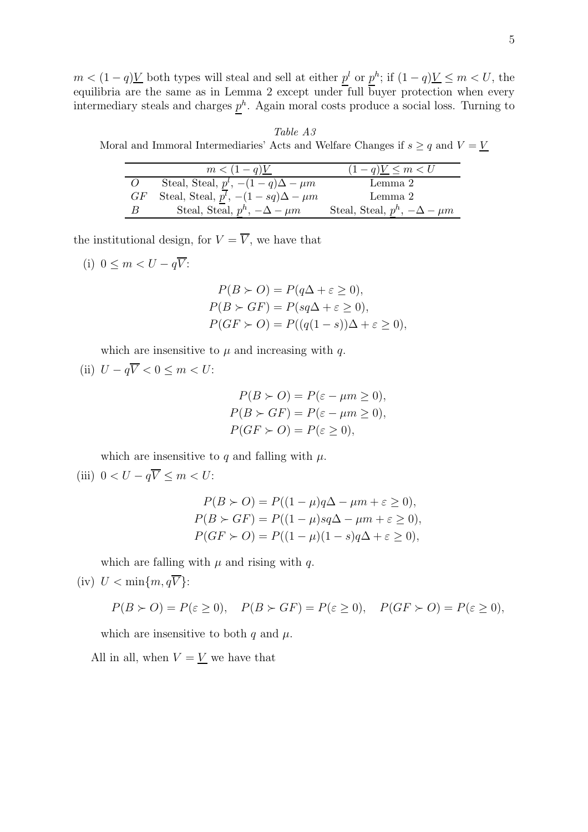$m < (1-q)V$  both types will steal and sell at either  $p<sup>l</sup>$  or  $p<sup>h</sup>$ ; if  $(1-q)V \le m < U$ , the equilibria are the same as in Lemma 2 except under full buyer protection when every intermediary steals and charges  $p<sup>h</sup>$ . Again moral costs produce a social loss. Turning to

Table A3 Moral and Immoral Intermediaries' Acts and Welfare Changes if  $s \geq q$  and  $V = V$ 

|          | $m < (1 - q)$ <u>V</u>                        | $(1-q)V \leq m < U$                     |
|----------|-----------------------------------------------|-----------------------------------------|
| $\Omega$ | Steal, Steal, $p^l$ , $-(1-q)\Delta - \mu m$  | Lemma 2                                 |
| GF       | Steal, Steal, $p^l$ , $-(1-sq)\Delta - \mu m$ | Lemma 2                                 |
| В        | Steal, Steal, $p^h$ , $-\Delta - \mu m$       | Steal, Steal, $p^h$ , $-\Delta - \mu m$ |

the institutional design, for  $V = \overline{V}$ , we have that

(i) 
$$
0 \leq m < U - q\overline{V}
$$
:

$$
P(B \succ O) = P(q\Delta + \varepsilon \ge 0),
$$
  
\n
$$
P(B \succ GF) = P(sq\Delta + \varepsilon \ge 0),
$$
  
\n
$$
P(GF \succ O) = P((q(1-s))\Delta + \varepsilon \ge 0),
$$

which are insensitive to  $\mu$  and increasing with q.

(ii)  $U - q\overline{V} < 0 \le m < U$ :

$$
P(B \succ O) = P(\varepsilon - \mu m \ge 0),
$$
  
\n
$$
P(B \succ GF) = P(\varepsilon - \mu m \ge 0),
$$
  
\n
$$
P(GF \succ O) = P(\varepsilon \ge 0),
$$

which are insensitive to q and falling with  $\mu$ .

(iii)  $0 < U - q\overline{V} \le m < U$ :

$$
P(B \succ O) = P((1 - \mu)q\Delta - \mu m + \varepsilon \ge 0),
$$
  
\n
$$
P(B \succ GF) = P((1 - \mu)sq\Delta - \mu m + \varepsilon \ge 0),
$$
  
\n
$$
P(GF \succ O) = P((1 - \mu)(1 - s)q\Delta + \varepsilon \ge 0),
$$

which are falling with  $\mu$  and rising with q.

(iv) 
$$
U < \min\{m, q\overline{V}\}:
$$

$$
P(B \succ O) = P(\varepsilon \ge 0), \quad P(B \succ GF) = P(\varepsilon \ge 0), \quad P(GF \succ O) = P(\varepsilon \ge 0),
$$

which are insensitive to both q and  $\mu$ .

All in all, when  $V = V$  we have that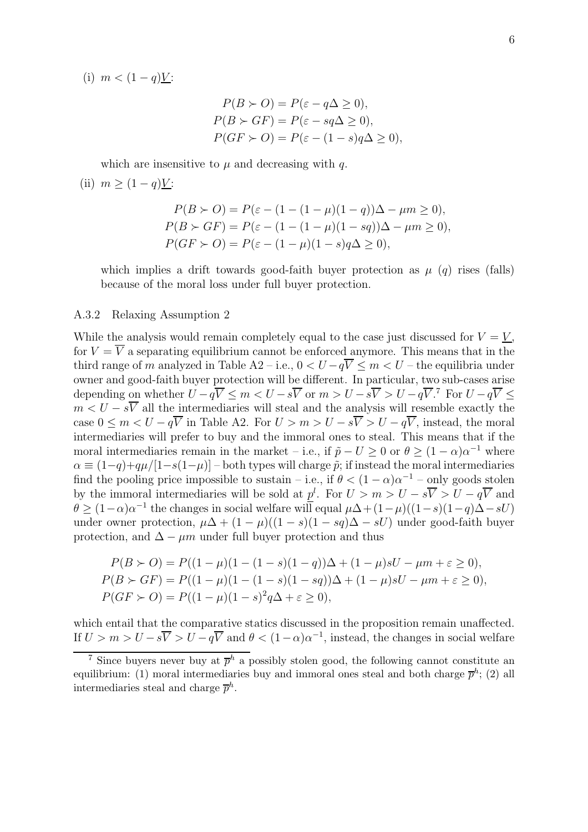(i)  $m < (1 - q)Y$ :

$$
P(B \succ O) = P(\varepsilon - q\Delta \ge 0),
$$
  
\n
$$
P(B \succ GF) = P(\varepsilon - sq\Delta \ge 0),
$$
  
\n
$$
P(GF \succ O) = P(\varepsilon - (1 - s)q\Delta \ge 0),
$$

which are insensitive to  $\mu$  and decreasing with q.

(ii) 
$$
m \geq (1-q)Y
$$
:

$$
P(B \succ O) = P(\varepsilon - (1 - (1 - \mu)(1 - q))\Delta - \mu m \ge 0),
$$
  
\n
$$
P(B \succ GF) = P(\varepsilon - (1 - (1 - \mu)(1 - sq))\Delta - \mu m \ge 0),
$$
  
\n
$$
P(GF \succ O) = P(\varepsilon - (1 - \mu)(1 - s)q\Delta \ge 0),
$$

which implies a drift towards good-faith buyer protection as  $\mu$  (q) rises (falls) because of the moral loss under full buyer protection.

### A.3.2 Relaxing Assumption 2

While the analysis would remain completely equal to the case just discussed for  $V = V$ , for  $V = \overline{V}$  a separating equilibrium cannot be enforced anymore. This means that in the third range of m analyzed in Table A2 – i.e.,  $0 < U - q\overline{V} \le m < U$  – the equilibria under owner and good-faith buyer protection will be different. In particular, two sub-cases arise depending on whether  $U-q\overline{V} \leq m < U-s\overline{V}$  or  $m > U-s\overline{V} > U-q\overline{V}$ .<sup>7</sup> For  $U-q\overline{V} \leq$  $m < U - s\overline{V}$  all the intermediaries will steal and the analysis will resemble exactly the case  $0 \leq m < U - q\overline{V}$  in Table A2. For  $U > m > U - s\overline{V} > U - q\overline{V}$ , instead, the moral intermediaries will prefer to buy and the immoral ones to steal. This means that if the moral intermediaries remain in the market – i.e., if  $\tilde{p} - U \geq 0$  or  $\theta \geq (1 - \alpha)\alpha^{-1}$  where  $\alpha \equiv (1-q)+q\mu/[1-s(1-\mu)]$  – both types will charge  $\tilde{p}$ ; if instead the moral intermediaries find the pooling price impossible to sustain – i.e., if  $\theta < (1 - \alpha)\alpha^{-1}$  – only goods stolen by the immoral intermediaries will be sold at  $p<sup>l</sup>$ . For  $U > m > U - s\overline{V} > U - q\overline{V}$  and  $\theta \geq (1-\alpha)\alpha^{-1}$  the changes in social welfare will equal  $\mu\Delta + (1-\mu)((1-s)(1-q)\Delta - sU)$ under owner protection,  $\mu\Delta + (1-\mu)((1-s)(1-sq)\Delta - sU)$  under good-faith buyer protection, and  $\Delta - \mu m$  under full buyer protection and thus

$$
P(B \succ O) = P((1 - \mu)(1 - (1 - s)(1 - q))\Delta + (1 - \mu)sU - \mu m + \varepsilon \ge 0),
$$
  
\n
$$
P(B \succ GF) = P((1 - \mu)(1 - (1 - s)(1 - sq))\Delta + (1 - \mu)sU - \mu m + \varepsilon \ge 0),
$$
  
\n
$$
P(GF \succ O) = P((1 - \mu)(1 - s)^{2}q\Delta + \varepsilon \ge 0),
$$

which entail that the comparative statics discussed in the proposition remain unaffected. If  $U > m > U - s\overline{V} > U - q\overline{V}$  and  $\theta < (1 - \alpha)\alpha^{-1}$ , instead, the changes in social welfare

<sup>&</sup>lt;sup>7</sup> Since buyers never buy at  $\bar{p}^h$  a possibly stolen good, the following cannot constitute an equilibrium: (1) moral intermediaries buy and immoral ones steal and both charge  $\bar{p}^h$ ; (2) all intermediaries steal and charge  $\overline{p}^h$ .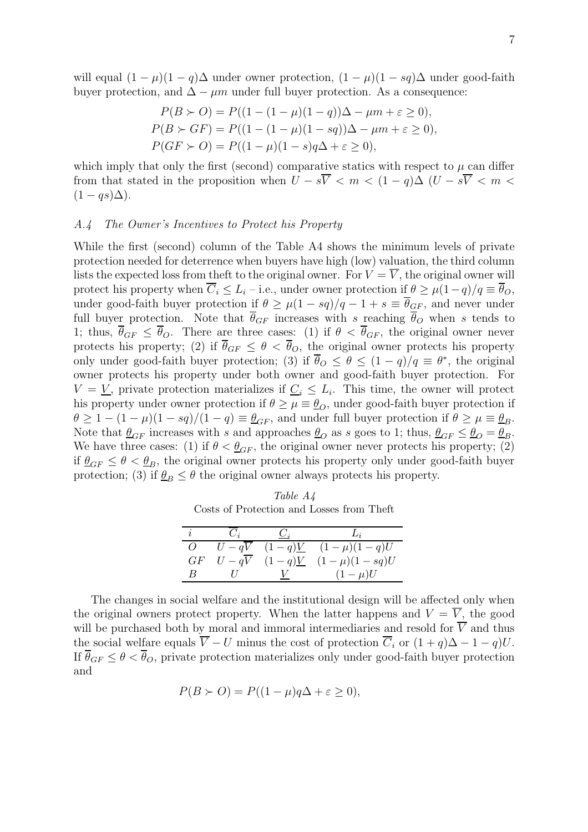will equal  $(1 - \mu)(1 - q)\Delta$  under owner protection,  $(1 - \mu)(1 - sq)\Delta$  under good-faith buyer protection, and  $\Delta - \mu m$  under full buyer protection. As a consequence:

$$
P(B \succ O) = P((1 - (1 - \mu)(1 - q))\Delta - \mu m + \varepsilon \ge 0),
$$
  
\n
$$
P(B \succ GF) = P((1 - (1 - \mu)(1 - sq))\Delta - \mu m + \varepsilon \ge 0),
$$
  
\n
$$
P(GF \succ O) = P((1 - \mu)(1 - s)q\Delta + \varepsilon \ge 0),
$$

which imply that only the first (second) comparative statics with respect to  $\mu$  can differ from that stated in the proposition when  $U - s\overline{V} < m < (1 - q)\Delta$  ( $U - s\overline{V} < m <$  $(1 - qs)\Delta$ ).

#### A.4 The Owner's Incentives to Protect his Property

While the first (second) column of the Table A4 shows the minimum levels of private protection needed for deterrence when buyers have high (low) valuation, the third column lists the expected loss from theft to the original owner. For  $V = \overline{V}$ , the original owner will protect his property when  $\overline{C}_i \leq L_i$  – i.e., under owner protection if  $\theta \geq \mu(1-q)/q \equiv \overline{\theta}_O$ , under good-faith buyer protection if  $\theta \geq \mu(1 - sq)/q - 1 + s \equiv \overline{\theta}_{\underline{G}F}$ , and never under full buyer protection. Note that  $\overline{\theta}_{GF}$  increases with s reaching  $\overline{\theta}_{O}$  when s tends to 1; thus,  $\overline{\theta}_{GF} \leq \overline{\theta}_{O}$ . There are three cases: (1) if  $\theta < \overline{\theta}_{GF}$ , the original owner never protects his property; (2) if  $\overline{\theta}_{GF} \leq \theta < \overline{\theta}_{O}$ , the original owner protects his property only under good-faith buyer protection; (3) if  $\overline{\theta}_O \leq \theta \leq (1-q)/q \equiv \theta^*$ , the original owner protects his property under both owner and good-faith buyer protection. For  $V = V$ , private protection materializes if  $C_i \leq L_i$ . This time, the owner will protect his property under owner protection if  $\theta \geq \mu \equiv \theta_{\Omega}$ , under good-faith buyer protection if  $\theta \geq 1 - (1 - \mu)(1 - sq)/(1 - q) \equiv \theta_{GF}$ , and under full buyer protection if  $\theta \geq \mu \equiv \theta_B$ . Note that  $\theta_{GF}$  increases with s and approaches  $\theta_{O}$  as s goes to 1; thus,  $\theta_{GF} \leq \theta_{O} = \theta_{B}$ . We have three cases: (1) if  $\theta < \theta_{GF}$ , the original owner never protects his property; (2) if  $\theta_{GF} \leq \theta < \theta_B$ , the original owner protects his property only under good-faith buyer protection; (3) if  $\theta_B \leq \theta$  the original owner always protects his property.

Table A4 Costs of Protection and Losses from Theft

| $\boldsymbol{q}$ |          |                      |                          |
|------------------|----------|----------------------|--------------------------|
| $\epsilon$       | $U - qV$ |                      | $(1-q)V$ $(1-\mu)(1-q)U$ |
| GF               | $U-qV$   | $(1-q)\underline{V}$ | $(1 - \mu)(1 - sq)U$     |
|                  |          |                      | $(1-\mu)U$               |

The changes in social welfare and the institutional design will be affected only when the original owners protect property. When the latter happens and  $V = \overline{V}$ , the good will be purchased both by moral and immoral intermediaries and resold for  $\overrightarrow{V}$  and thus the social welfare equals  $\overline{V} - U$  minus the cost of protection  $\overline{C}_i$  or  $(1+q)\Delta - 1 - q)U$ . If  $\overline{\theta}_{GF} \le \theta < \overline{\theta}_{O}$ , private protection materializes only under good-faith buyer protection and

$$
P(B \succ O) = P((1 - \mu)q\Delta + \varepsilon \ge 0),
$$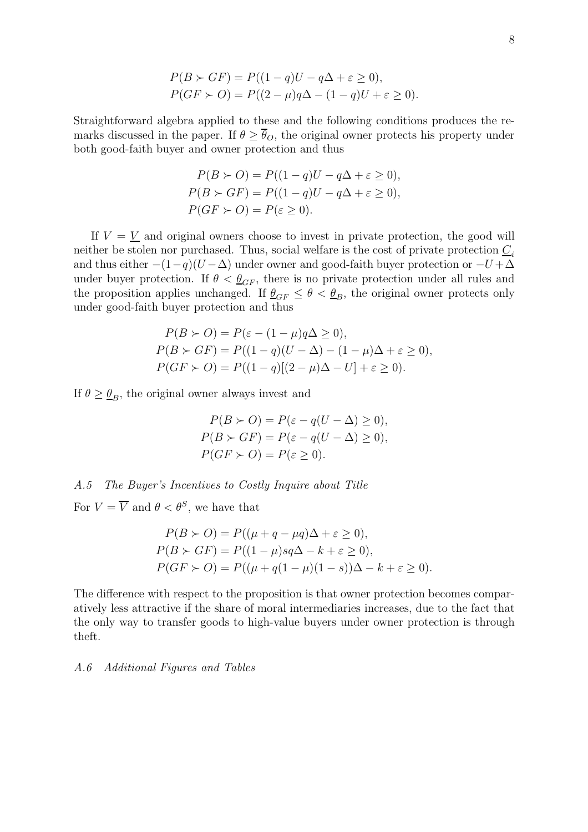$$
P(B \succ GF) = P((1-q)U - q\Delta + \varepsilon \ge 0),
$$
  
 
$$
P(GF \succ O) = P((2-\mu)q\Delta - (1-q)U + \varepsilon \ge 0).
$$

Straightforward algebra applied to these and the following conditions produces the remarks discussed in the paper. If  $\theta \geq \overline{\theta}_O$ , the original owner protects his property under both good-faith buyer and owner protection and thus

$$
P(B \succ O) = P((1-q)U - q\Delta + \varepsilon \ge 0),
$$
  
\n
$$
P(B \succ GF) = P((1-q)U - q\Delta + \varepsilon \ge 0),
$$
  
\n
$$
P(GF \succ O) = P(\varepsilon \ge 0).
$$

If  $V = V$  and original owners choose to invest in private protection, the good will neither be stolen nor purchased. Thus, social welfare is the cost of private protection  $C_i$ and thus either  $-(1-q)(U-\Delta)$  under owner and good-faith buyer protection or  $-U+\Delta$ under buyer protection. If  $\theta < \theta_{GF}$ , there is no private protection under all rules and the proposition applies unchanged. If  $\underline{\theta}_{GF} \le \theta < \underline{\theta}_{B}$ , the original owner protects only under good-faith buyer protection and thus

$$
P(B \succ O) = P(\varepsilon - (1 - \mu)q\Delta \ge 0),
$$
  
\n
$$
P(B \succ GF) = P((1 - q)(U - \Delta) - (1 - \mu)\Delta + \varepsilon \ge 0),
$$
  
\n
$$
P(GF \succ O) = P((1 - q)[(2 - \mu)\Delta - U] + \varepsilon \ge 0).
$$

If  $\theta \geq \theta_B$ , the original owner always invest and

$$
P(B \succ O) = P(\varepsilon - q(U - \Delta) \ge 0),
$$
  
\n
$$
P(B \succ GF) = P(\varepsilon - q(U - \Delta) \ge 0),
$$
  
\n
$$
P(GF \succ O) = P(\varepsilon \ge 0).
$$

# A.5 The Buyer's Incentives to Costly Inquire about Title

For  $V = \overline{V}$  and  $\theta < \theta^S$ , we have that

$$
P(B \succ O) = P((\mu + q - \mu q)\Delta + \varepsilon \ge 0),
$$
  
\n
$$
P(B \succ GF) = P((1 - \mu)sq\Delta - k + \varepsilon \ge 0),
$$
  
\n
$$
P(GF \succ O) = P((\mu + q(1 - \mu)(1 - s))\Delta - k + \varepsilon \ge 0).
$$

The difference with respect to the proposition is that owner protection becomes comparatively less attractive if the share of moral intermediaries increases, due to the fact that the only way to transfer goods to high-value buyers under owner protection is through theft.

#### A.6 Additional Figures and Tables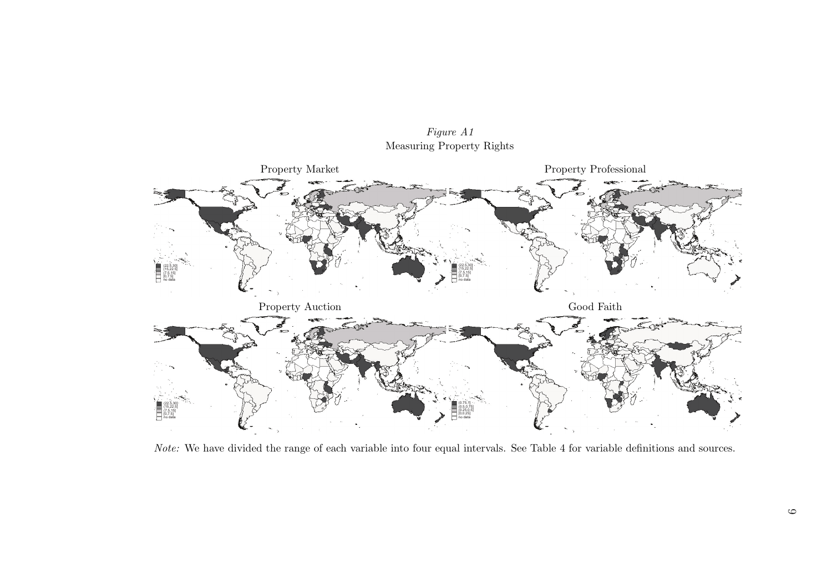Figure A1Measuring Property Rights



Note: We have divided the range of each variable into four equal intervals. See Table 4 for variable definitions and sources.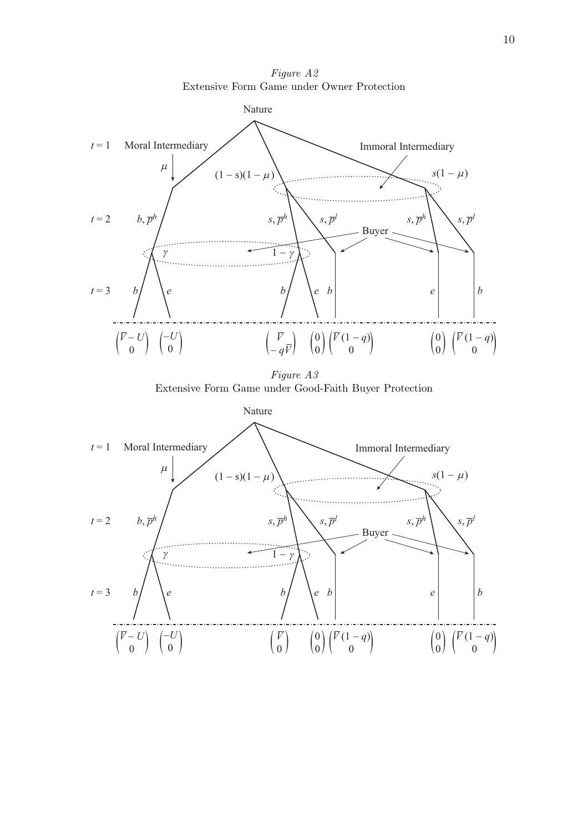Figure A2 Extensive Form Game under Owner Protection



Figure A3 Extensive Form Game under Good-Faith Buyer Protection

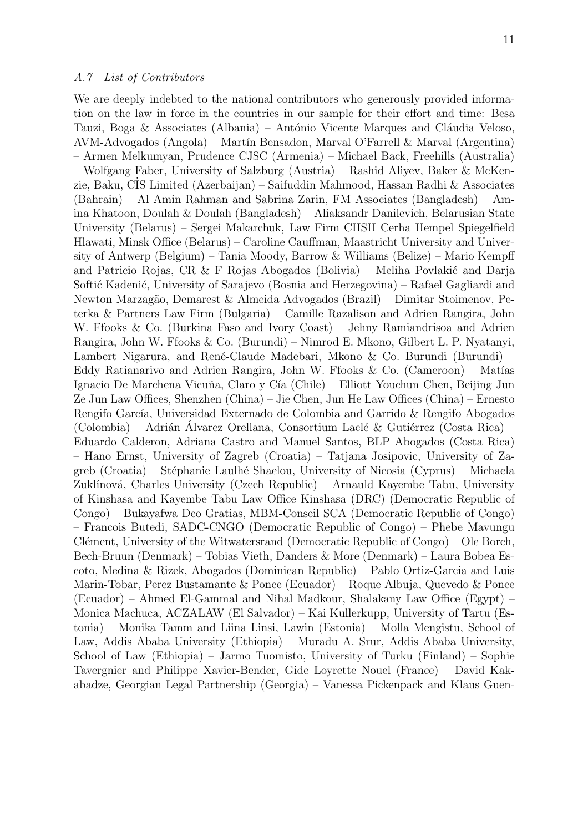We are deeply indebted to the national contributors who generously provided information on the law in force in the countries in our sample for their effort and time: Besa Tauzi, Boga & Associates (Albania) – António Vicente Marques and Cláudia Veloso, AVM-Advogados (Angola) – Mart´ın Bensadon, Marval O'Farrell & Marval (Argentina) – Armen Melkumyan, Prudence CJSC (Armenia) – Michael Back, Freehills (Australia) – Wolfgang Faber, University of Salzburg (Austria) – Rashid Aliyev, Baker & McKenzie, Baku, C˙IS Limited (Azerbaijan) – Saifuddin Mahmood, Hassan Radhi & Associates (Bahrain) – Al Amin Rahman and Sabrina Zarin, FM Associates (Bangladesh) – Amina Khatoon, Doulah & Doulah (Bangladesh) – Aliaksandr Danilevich, Belarusian State University (Belarus) – Sergei Makarchuk, Law Firm CHSH Cerha Hempel Spiegelfield Hlawati, Minsk Office (Belarus) – Caroline Cauffman, Maastricht University and University of Antwerp (Belgium) – Tania Moody, Barrow & Williams (Belize) – Mario Kempff and Patricio Rojas, CR & F Rojas Abogados (Bolivia) – Meliha Povlakić and Darja Softić Kadenić, University of Sarajevo (Bosnia and Herzegovina) – Rafael Gagliardi and Newton Marzagão, Demarest & Almeida Advogados (Brazil) – Dimitar Stoimenov, Peterka & Partners Law Firm (Bulgaria) – Camille Razalison and Adrien Rangira, John W. Ffooks & Co. (Burkina Faso and Ivory Coast) – Jehny Ramiandrisoa and Adrien Rangira, John W. Ffooks & Co. (Burundi) – Nimrod E. Mkono, Gilbert L. P. Nyatanyi, Lambert Nigarura, and René-Claude Madebari, Mkono & Co. Burundi (Burundi) – Eddy Ratianarivo and Adrien Rangira, John W. Ffooks & Co. (Cameroon) – Matías Ignacio De Marchena Vicuña, Claro y Cía (Chile) – Elliott Youchun Chen, Beijing Jun Ze Jun Law Offices, Shenzhen (China) – Jie Chen, Jun He Law Offices (China) – Ernesto Rengifo García, Universidad Externado de Colombia and Garrido & Rengifo Abogados (Colombia) – Adrián Álvarez Orellana, Consortium Laclé & Gutiérrez (Costa Rica) – Eduardo Calderon, Adriana Castro and Manuel Santos, BLP Abogados (Costa Rica) – Hano Ernst, University of Zagreb (Croatia) – Tatjana Josipovic, University of Zagreb (Croatia) – Stéphanie Laulhé Shaelou, University of Nicosia (Cyprus) – Michaela Zuklínová, Charles University (Czech Republic) – Arnauld Kayembe Tabu, University of Kinshasa and Kayembe Tabu Law Office Kinshasa (DRC) (Democratic Republic of Congo) – Bukayafwa Deo Gratias, MBM-Conseil SCA (Democratic Republic of Congo) – Francois Butedi, SADC-CNGO (Democratic Republic of Congo) – Phebe Mavungu Clément, University of the Witwatersrand (Democratic Republic of Congo) – Ole Borch, Bech-Bruun (Denmark) – Tobias Vieth, Danders & More (Denmark) – Laura Bobea Escoto, Medina & Rizek, Abogados (Dominican Republic) – Pablo Ortiz-Garcia and Luis Marin-Tobar, Perez Bustamante & Ponce (Ecuador) – Roque Albuja, Quevedo & Ponce (Ecuador) – Ahmed El-Gammal and Nihal Madkour, Shalakany Law Office (Egypt) – Monica Machuca, ACZALAW (El Salvador) – Kai Kullerkupp, University of Tartu (Estonia) – Monika Tamm and Liina Linsi, Lawin (Estonia) – Molla Mengistu, School of Law, Addis Ababa University (Ethiopia) – Muradu A. Srur, Addis Ababa University, School of Law (Ethiopia) – Jarmo Tuomisto, University of Turku (Finland) – Sophie Tavergnier and Philippe Xavier-Bender, Gide Loyrette Nouel (France) – David Kakabadze, Georgian Legal Partnership (Georgia) – Vanessa Pickenpack and Klaus Guen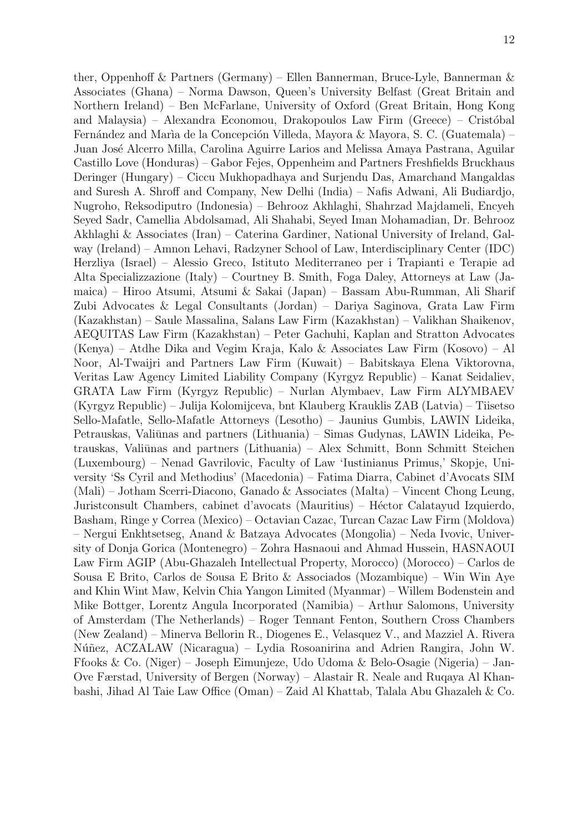ther, Oppenhoff & Partners (Germany) – Ellen Bannerman, Bruce-Lyle, Bannerman & Associates (Ghana) – Norma Dawson, Queen's University Belfast (Great Britain and Northern Ireland) – Ben McFarlane, University of Oxford (Great Britain, Hong Kong and Malaysia) – Alexandra Economou, Drakopoulos Law Firm (Greece) – Cristóbal Fernández and María de la Concepción Villeda, Mayora & Mayora, S. C. (Guatemala) – Juan Jos´e Alcerro Milla, Carolina Aguirre Larios and Melissa Amaya Pastrana, Aguilar Castillo Love (Honduras) – Gabor Fejes, Oppenheim and Partners Freshfields Bruckhaus Deringer (Hungary) – Ciccu Mukhopadhaya and Surjendu Das, Amarchand Mangaldas and Suresh A. Shroff and Company, New Delhi (India) – Nafis Adwani, Ali Budiardjo, Nugroho, Reksodiputro (Indonesia) – Behrooz Akhlaghi, Shahrzad Majdameli, Encyeh Seyed Sadr, Camellia Abdolsamad, Ali Shahabi, Seyed Iman Mohamadian, Dr. Behrooz Akhlaghi & Associates (Iran) – Caterina Gardiner, National University of Ireland, Galway (Ireland) – Amnon Lehavi, Radzyner School of Law, Interdisciplinary Center (IDC) Herzliya (Israel) – Alessio Greco, Istituto Mediterraneo per i Trapianti e Terapie ad Alta Specializzazione (Italy) – Courtney B. Smith, Foga Daley, Attorneys at Law (Jamaica) – Hiroo Atsumi, Atsumi & Sakai (Japan) – Bassam Abu-Rumman, Ali Sharif Zubi Advocates & Legal Consultants (Jordan) – Dariya Saginova, Grata Law Firm (Kazakhstan) – Saule Massalina, Salans Law Firm (Kazakhstan) – Valikhan Shaikenov, AEQUITAS Law Firm (Kazakhstan) – Peter Gachuhi, Kaplan and Stratton Advocates (Kenya) – Atdhe Dika and Vegim Kraja, Kalo & Associates Law Firm (Kosovo) – Al Noor, Al-Twaijri and Partners Law Firm (Kuwait) – Babitskaya Elena Viktorovna, Veritas Law Agency Limited Liability Company (Kyrgyz Republic) – Kanat Seidaliev, GRATA Law Firm (Kyrgyz Republic) – Nurlan Alymbaev, Law Firm ALYMBAEV (Kyrgyz Republic) – Julija Kolomijceva, bnt Klauberg Krauklis ZAB (Latvia) – Tiisetso Sello-Mafatle, Sello-Mafatle Attorneys (Lesotho) – Jaunius Gumbis, LAWIN Lideika, Petrauskas, Valiūnas and partners (Lithuania) – Simas Gudynas, LAWIN Lideika, Petrauskas, Valiūnas and partners (Lithuania) – Alex Schmitt, Bonn Schmitt Steichen (Luxembourg) – Nenad Gavrilovic, Faculty of Law 'Iustinianus Primus,' Skopje, University 'Ss Cyril and Methodius' (Macedonia) – Fatima Diarra, Cabinet d'Avocats SIM (Mali) – Jotham Scerri-Diacono, Ganado & Associates (Malta) – Vincent Chong Leung, Juristconsult Chambers, cabinet d'avocats (Mauritius) – Héctor Calatayud Izquierdo, Basham, Ringe y Correa (Mexico) – Octavian Cazac, Turcan Cazac Law Firm (Moldova) – Nergui Enkhtsetseg, Anand & Batzaya Advocates (Mongolia) – Neda Ivovic, University of Donja Gorica (Montenegro) – Zohra Hasnaoui and Ahmad Hussein, HASNAOUI Law Firm AGIP (Abu-Ghazaleh Intellectual Property, Morocco) (Morocco) – Carlos de Sousa E Brito, Carlos de Sousa E Brito & Associados (Mozambique) – Win Win Aye and Khin Wint Maw, Kelvin Chia Yangon Limited (Myanmar) – Willem Bodenstein and Mike Bottger, Lorentz Angula Incorporated (Namibia) – Arthur Salomons, University of Amsterdam (The Netherlands) – Roger Tennant Fenton, Southern Cross Chambers (New Zealand) – Minerva Bellorin R., Diogenes E., Velasquez V., and Mazziel A. Rivera Núñez, ACZALAW (Nicaragua) – Lydia Rosoanirina and Adrien Rangira, John W. Ffooks & Co. (Niger) – Joseph Eimunjeze, Udo Udoma & Belo-Osagie (Nigeria) – Jan-Ove Færstad, University of Bergen (Norway) – Alastair R. Neale and Ruqaya Al Khanbashi, Jihad Al Taie Law Office (Oman) – Zaid Al Khattab, Talala Abu Ghazaleh & Co.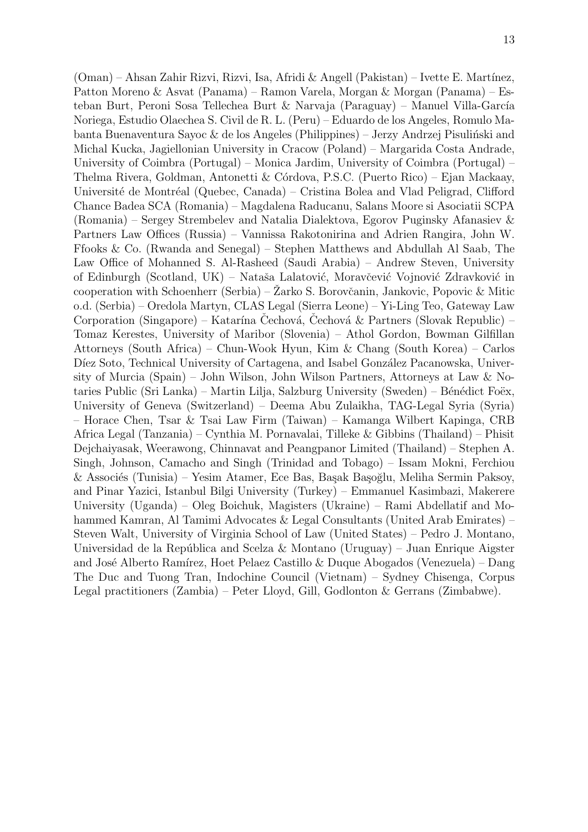(Oman) – Ahsan Zahir Rizvi, Rizvi, Isa, Afridi & Angell (Pakistan) – Ivette E. Mart´ınez, Patton Moreno & Asvat (Panama) – Ramon Varela, Morgan & Morgan (Panama) – Esteban Burt, Peroni Sosa Tellechea Burt & Narvaja (Paraguay) – Manuel Villa-García Noriega, Estudio Olaechea S. Civil de R. L. (Peru) – Eduardo de los Angeles, Romulo Mabanta Buenaventura Sayoc & de los Angeles (Philippines) – Jerzy Andrzej Pisuliński and Michal Kucka, Jagiellonian University in Cracow (Poland) – Margarida Costa Andrade, University of Coimbra (Portugal) – Monica Jardim, University of Coimbra (Portugal) – Thelma Rivera, Goldman, Antonetti & Córdova, P.S.C. (Puerto Rico) – Ejan Mackaay, Université de Montréal (Quebec, Canada) – Cristina Bolea and Vlad Peligrad, Clifford Chance Badea SCA (Romania) – Magdalena Raducanu, Salans Moore si Asociatii SCPA (Romania) – Sergey Strembelev and Natalia Dialektova, Egorov Puginsky Afanasiev & Partners Law Offices (Russia) – Vannissa Rakotonirina and Adrien Rangira, John W. Ffooks & Co. (Rwanda and Senegal) – Stephen Matthews and Abdullah Al Saab, The Law Office of Mohanned S. Al-Rasheed (Saudi Arabia) – Andrew Steven, University of Edinburgh (Scotland, UK) – Nataša Lalatović, Moravčević Vojnović Zdravković in cooperation with Schoenherr (Serbia) – Zarko S. Borovčanin, Jankovic, Popovic & Mitic o.d. (Serbia) – Oredola Martyn, CLAS Legal (Sierra Leone) – Yi-Ling Teo, Gateway Law Corporation (Singapore) – Katarína Cechová, Cechová & Partners (Slovak Republic) – Tomaz Kerestes, University of Maribor (Slovenia) – Athol Gordon, Bowman Gilfillan Attorneys (South Africa) – Chun-Wook Hyun, Kim & Chang (South Korea) – Carlos Díez Soto, Technical University of Cartagena, and Isabel González Pacanowska, University of Murcia (Spain) – John Wilson, John Wilson Partners, Attorneys at Law & Notaries Public (Sri Lanka) – Martin Lilja, Salzburg University (Sweden) – Bénédict Foëx, University of Geneva (Switzerland) – Deema Abu Zulaikha, TAG-Legal Syria (Syria) – Horace Chen, Tsar & Tsai Law Firm (Taiwan) – Kamanga Wilbert Kapinga, CRB Africa Legal (Tanzania) – Cynthia M. Pornavalai, Tilleke & Gibbins (Thailand) – Phisit Dejchaiyasak, Weerawong, Chinnavat and Peangpanor Limited (Thailand) – Stephen A. Singh, Johnson, Camacho and Singh (Trinidad and Tobago) – Issam Mokni, Ferchiou & Associés (Tunisia) – Yesim Atamer, Ece Bas, Başak Başoğlu, Meliha Sermin Paksoy, and Pinar Yazici, Istanbul Bilgi University (Turkey) – Emmanuel Kasimbazi, Makerere University (Uganda) – Oleg Boichuk, Magisters (Ukraine) – Rami Abdellatif and Mohammed Kamran, Al Tamimi Advocates & Legal Consultants (United Arab Emirates) – Steven Walt, University of Virginia School of Law (United States) – Pedro J. Montano, Universidad de la República and Scelza & Montano (Uruguay) – Juan Enrique Aigster and José Alberto Ramírez, Hoet Pelaez Castillo & Duque Abogados (Venezuela) – Dang The Duc and Tuong Tran, Indochine Council (Vietnam) – Sydney Chisenga, Corpus Legal practitioners (Zambia) – Peter Lloyd, Gill, Godlonton & Gerrans (Zimbabwe).